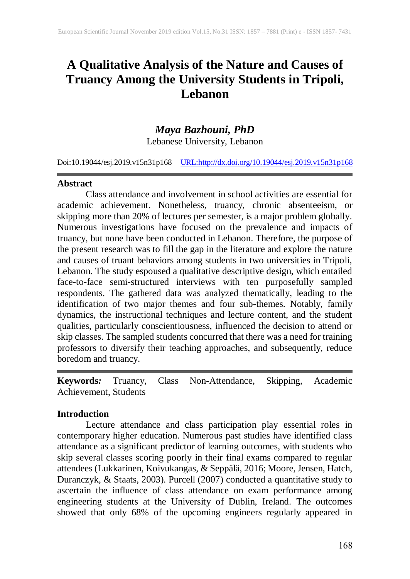# **A Qualitative Analysis of the Nature and Causes of Truancy Among the University Students in Tripoli, Lebanon**

## *Maya Bazhouni, PhD*

Lebanese University, Lebanon

Doi:10.19044/esj.2019.v15n31p168 [URL:http://dx.doi.org/10.19044/esj.2019.v15n31p1](http://dx.doi.org/10.19044/esj.2019.v15n31p1)68

#### **Abstract**

Class attendance and involvement in school activities are essential for academic achievement. Nonetheless, truancy, chronic absenteeism, or skipping more than 20% of lectures per semester, is a major problem globally. Numerous investigations have focused on the prevalence and impacts of truancy, but none have been conducted in Lebanon. Therefore, the purpose of the present research was to fill the gap in the literature and explore the nature and causes of truant behaviors among students in two universities in Tripoli, Lebanon. The study espoused a qualitative descriptive design, which entailed face-to-face semi-structured interviews with ten purposefully sampled respondents. The gathered data was analyzed thematically, leading to the identification of two major themes and four sub-themes. Notably, family dynamics, the instructional techniques and lecture content, and the student qualities, particularly conscientiousness, influenced the decision to attend or skip classes. The sampled students concurred that there was a need for training professors to diversify their teaching approaches, and subsequently, reduce boredom and truancy.

**Keywords***:* Truancy, Class Non-Attendance, Skipping, Academic Achievement, Students

#### **Introduction**

Lecture attendance and class participation play essential roles in contemporary higher education. Numerous past studies have identified class attendance as a significant predictor of learning outcomes, with students who skip several classes scoring poorly in their final exams compared to regular attendees (Lukkarinen, Koivukangas, & Seppälä, 2016; Moore, Jensen, Hatch, Duranczyk, & Staats, 2003). Purcell (2007) conducted a quantitative study to ascertain the influence of class attendance on exam performance among engineering students at the University of Dublin, Ireland. The outcomes showed that only 68% of the upcoming engineers regularly appeared in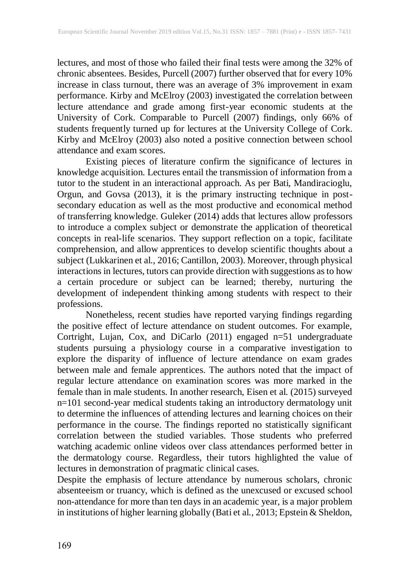lectures, and most of those who failed their final tests were among the 32% of chronic absentees. Besides, Purcell (2007) further observed that for every 10% increase in class turnout, there was an average of 3% improvement in exam performance. Kirby and McElroy (2003) investigated the correlation between lecture attendance and grade among first-year economic students at the University of Cork. Comparable to Purcell (2007) findings, only 66% of students frequently turned up for lectures at the University College of Cork. Kirby and McElroy (2003) also noted a positive connection between school attendance and exam scores.

Existing pieces of literature confirm the significance of lectures in knowledge acquisition. Lectures entail the transmission of information from a tutor to the student in an interactional approach. As per Bati, Mandiracioglu, Orgun, and Govsa (2013), it is the primary instructing technique in postsecondary education as well as the most productive and economical method of transferring knowledge. Guleker (2014) adds that lectures allow professors to introduce a complex subject or demonstrate the application of theoretical concepts in real-life scenarios. They support reflection on a topic, facilitate comprehension, and allow apprentices to develop scientific thoughts about a subject (Lukkarinen et al., 2016; Cantillon, 2003). Moreover, through physical interactions in lectures, tutors can provide direction with suggestions asto how a certain procedure or subject can be learned; thereby, nurturing the development of independent thinking among students with respect to their professions.

Nonetheless, recent studies have reported varying findings regarding the positive effect of lecture attendance on student outcomes. For example, Cortright, Lujan, Cox, and DiCarlo (2011) engaged n=51 undergraduate students pursuing a physiology course in a comparative investigation to explore the disparity of influence of lecture attendance on exam grades between male and female apprentices. The authors noted that the impact of regular lecture attendance on examination scores was more marked in the female than in male students. In another research, Eisen et al. (2015) surveyed n=101 second-year medical students taking an introductory dermatology unit to determine the influences of attending lectures and learning choices on their performance in the course. The findings reported no statistically significant correlation between the studied variables. Those students who preferred watching academic online videos over class attendances performed better in the dermatology course. Regardless, their tutors highlighted the value of lectures in demonstration of pragmatic clinical cases.

Despite the emphasis of lecture attendance by numerous scholars, chronic absenteeism or truancy, which is defined as the unexcused or excused school non-attendance for more than ten days in an academic year, is a major problem in institutions of higher learning globally (Bati et al., 2013; Epstein & Sheldon,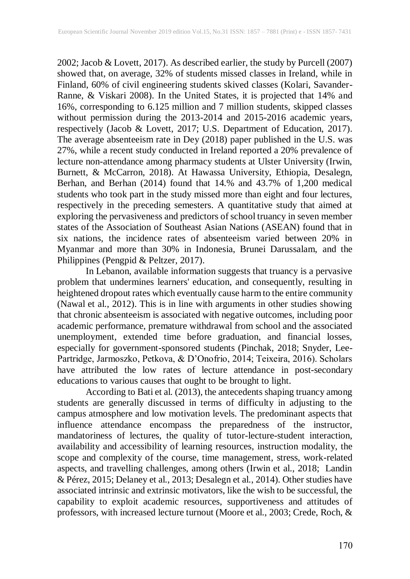2002; Jacob & Lovett, 2017). As described earlier, the study by Purcell (2007) showed that, on average, 32% of students missed classes in Ireland, while in Finland, 60% of civil engineering students skived classes (Kolari, Savander-Ranne, & Viskari 2008). In the United States, it is projected that 14% and 16%, corresponding to 6.125 million and 7 million students, skipped classes without permission during the 2013-2014 and 2015-2016 academic years, respectively (Jacob & Lovett, 2017; U.S. Department of Education, 2017). The average absenteeism rate in Dey (2018) paper published in the U.S. was 27%, while a recent study conducted in Ireland reported a 20% prevalence of lecture non-attendance among pharmacy students at Ulster University (Irwin, Burnett, & McCarron, 2018). At Hawassa University, Ethiopia, Desalegn, Berhan, and Berhan (2014) found that 14.% and 43.7% of 1,200 medical students who took part in the study missed more than eight and four lectures, respectively in the preceding semesters. A quantitative study that aimed at exploring the pervasiveness and predictors of school truancy in seven member states of the Association of Southeast Asian Nations (ASEAN) found that in six nations, the incidence rates of absenteeism varied between 20% in Myanmar and more than 30% in Indonesia, Brunei Darussalam, and the Philippines (Pengpid & Peltzer, 2017).

In Lebanon, available information suggests that truancy is a pervasive problem that undermines learners' education, and consequently, resulting in heightened dropout rates which eventually cause harm to the entire community (Nawal et al., 2012). This is in line with arguments in other studies showing that chronic absenteeism is associated with negative outcomes, including poor academic performance, premature withdrawal from school and the associated unemployment, extended time before graduation, and financial losses, especially for government-sponsored students (Pinchak, 2018; Snyder, Lee-Partridge, Jarmoszko, Petkova, & D'Onofrio, 2014; Teixeira, 2016). Scholars have attributed the low rates of lecture attendance in post-secondary educations to various causes that ought to be brought to light.

According to Bati et al. (2013), the antecedents shaping truancy among students are generally discussed in terms of difficulty in adjusting to the campus atmosphere and low motivation levels. The predominant aspects that influence attendance encompass the preparedness of the instructor, mandatoriness of lectures, the quality of tutor-lecture-student interaction, availability and accessibility of learning resources, instruction modality, the scope and complexity of the course, time management, stress, work-related aspects, and travelling challenges, among others (Irwin et al., 2018; Landin & Pérez, 2015; Delaney et al., 2013; Desalegn et al., 2014). Other studies have associated intrinsic and extrinsic motivators, like the wish to be successful, the capability to exploit academic resources, supportiveness and attitudes of professors, with increased lecture turnout (Moore et al., 2003; Crede, Roch, &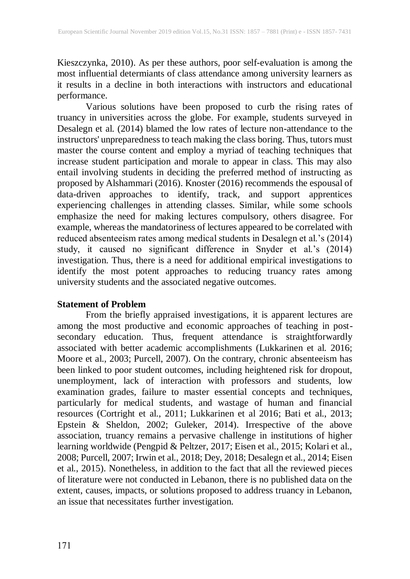Kieszczynka, 2010). As per these authors, poor self-evaluation is among the most influential determiants of class attendance among university learners as it results in a decline in both interactions with instructors and educational performance.

Various solutions have been proposed to curb the rising rates of truancy in universities across the globe. For example, students surveyed in Desalegn et al. (2014) blamed the low rates of lecture non-attendance to the instructors' unpreparednessto teach making the class boring. Thus, tutors must master the course content and employ a myriad of teaching techniques that increase student participation and morale to appear in class. This may also entail involving students in deciding the preferred method of instructing as proposed by Alshammari (2016). Knoster (2016) recommends the espousal of data-driven approaches to identify, track, and support apprentices experiencing challenges in attending classes. Similar, while some schools emphasize the need for making lectures compulsory, others disagree. For example, whereas the mandatoriness of lectures appeared to be correlated with reduced absenteeism rates among medical students in Desalegn et al.'s (2014) study, it caused no significant difference in Snyder et al.'s (2014) investigation. Thus, there is a need for additional empirical investigations to identify the most potent approaches to reducing truancy rates among university students and the associated negative outcomes.

### **Statement of Problem**

From the briefly appraised investigations, it is apparent lectures are among the most productive and economic approaches of teaching in postsecondary education. Thus, frequent attendance is straightforwardly associated with better academic accomplishments (Lukkarinen et al. 2016; Moore et al., 2003; Purcell, 2007). On the contrary, chronic absenteeism has been linked to poor student outcomes, including heightened risk for dropout, unemployment, lack of interaction with professors and students, low examination grades, failure to master essential concepts and techniques, particularly for medical students, and wastage of human and financial resources (Cortright et al., 2011; Lukkarinen et al 2016; Bati et al., 2013; Epstein & Sheldon, 2002; Guleker, 2014). Irrespective of the above association, truancy remains a pervasive challenge in institutions of higher learning worldwide (Pengpid & Peltzer, 2017; Eisen et al., 2015; Kolari et al., 2008; Purcell, 2007; Irwin et al., 2018; Dey, 2018; Desalegn et al., 2014; Eisen et al., 2015). Nonetheless, in addition to the fact that all the reviewed pieces of literature were not conducted in Lebanon, there is no published data on the extent, causes, impacts, or solutions proposed to address truancy in Lebanon, an issue that necessitates further investigation.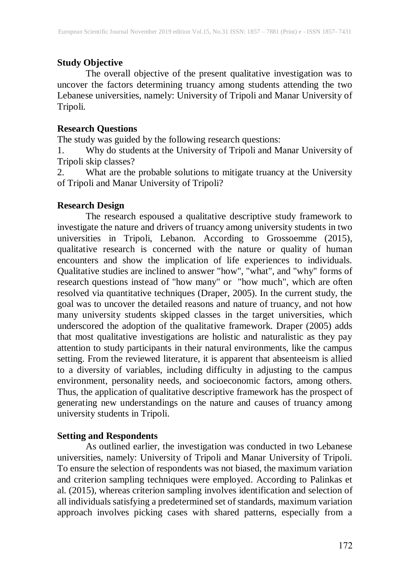## **Study Objective**

The overall objective of the present qualitative investigation was to uncover the factors determining truancy among students attending the two Lebanese universities, namely: University of Tripoli and Manar University of Tripoli.

#### **Research Questions**

The study was guided by the following research questions:

1. Why do students at the University of Tripoli and Manar University of Tripoli skip classes?

2. What are the probable solutions to mitigate truancy at the University of Tripoli and Manar University of Tripoli?

### **Research Design**

The research espoused a qualitative descriptive study framework to investigate the nature and drivers of truancy among university students in two universities in Tripoli, Lebanon. According to Grossoemme (2015), qualitative research is concerned with the nature or quality of human encounters and show the implication of life experiences to individuals. Qualitative studies are inclined to answer "how", "what", and "why" forms of research questions instead of "how many" or "how much", which are often resolved via quantitative techniques (Draper, 2005). In the current study, the goal was to uncover the detailed reasons and nature of truancy, and not how many university students skipped classes in the target universities, which underscored the adoption of the qualitative framework. Draper (2005) adds that most qualitative investigations are holistic and naturalistic as they pay attention to study participants in their natural environments, like the campus setting. From the reviewed literature, it is apparent that absenteeism is allied to a diversity of variables, including difficulty in adjusting to the campus environment, personality needs, and socioeconomic factors, among others. Thus, the application of qualitative descriptive framework has the prospect of generating new understandings on the nature and causes of truancy among university students in Tripoli.

### **Setting and Respondents**

As outlined earlier, the investigation was conducted in two Lebanese universities, namely: University of Tripoli and Manar University of Tripoli. To ensure the selection of respondents was not biased, the maximum variation and criterion sampling techniques were employed. According to Palinkas et al. (2015), whereas criterion sampling involves identification and selection of all individuals satisfying a predetermined set of standards, maximum variation approach involves picking cases with shared patterns, especially from a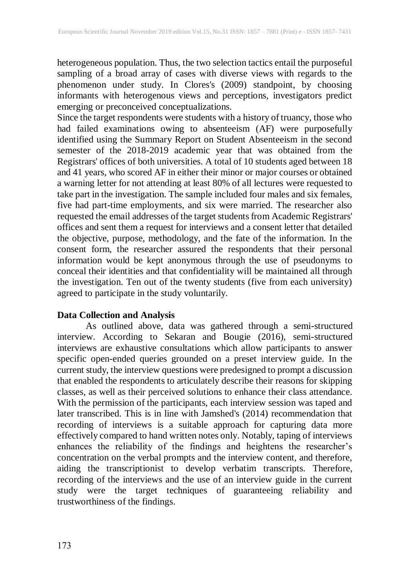heterogeneous population. Thus, the two selection tactics entail the purposeful sampling of a broad array of cases with diverse views with regards to the phenomenon under study. In Clores's (2009) standpoint, by choosing informants with heterogenous views and perceptions, investigators predict emerging or preconceived conceptualizations.

Since the target respondents were students with a history of truancy, those who had failed examinations owing to absenteeism (AF) were purposefully identified using the Summary Report on Student Absenteeism in the second semester of the 2018-2019 academic year that was obtained from the Registrars' offices of both universities. A total of 10 students aged between 18 and 41 years, who scored AF in either their minor or major courses or obtained a warning letter for not attending at least 80% of all lectures were requested to take part in the investigation. The sample included four males and six females, five had part-time employments, and six were married. The researcher also requested the email addresses of the target students from Academic Registrars' offices and sent them a request for interviews and a consent letter that detailed the objective, purpose, methodology, and the fate of the information. In the consent form, the researcher assured the respondents that their personal information would be kept anonymous through the use of pseudonyms to conceal their identities and that confidentiality will be maintained all through the investigation. Ten out of the twenty students (five from each university) agreed to participate in the study voluntarily.

### **Data Collection and Analysis**

As outlined above, data was gathered through a semi-structured interview. According to Sekaran and Bougie (2016), semi-structured interviews are exhaustive consultations which allow participants to answer specific open-ended queries grounded on a preset interview guide. In the current study, the interview questions were predesigned to prompt a discussion that enabled the respondents to articulately describe their reasons for skipping classes, as well as their perceived solutions to enhance their class attendance. With the permission of the participants, each interview session was taped and later transcribed. This is in line with Jamshed's (2014) recommendation that recording of interviews is a suitable approach for capturing data more effectively compared to hand written notes only. Notably, taping of interviews enhances the reliability of the findings and heightens the researcher's concentration on the verbal prompts and the interview content, and therefore, aiding the transcriptionist to develop verbatim transcripts. Therefore, recording of the interviews and the use of an interview guide in the current study were the target techniques of guaranteeing reliability and trustworthiness of the findings.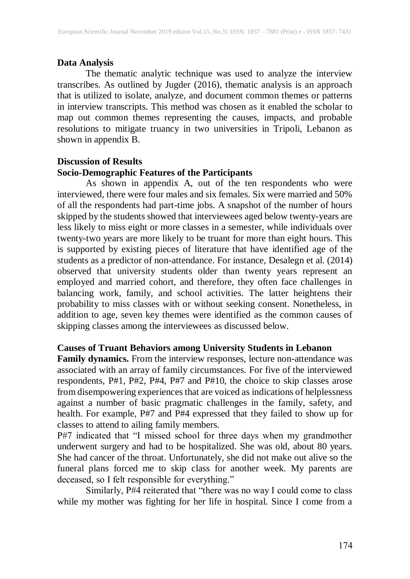## **Data Analysis**

The thematic analytic technique was used to analyze the interview transcribes. As outlined by Jugder (2016), thematic analysis is an approach that is utilized to isolate, analyze, and document common themes or patterns in interview transcripts. This method was chosen as it enabled the scholar to map out common themes representing the causes, impacts, and probable resolutions to mitigate truancy in two universities in Tripoli, Lebanon as shown in appendix B.

## **Discussion of Results Socio-Demographic Features of the Participants**

As shown in appendix A, out of the ten respondents who were interviewed, there were four males and six females. Six were married and 50% of all the respondents had part-time jobs. A snapshot of the number of hours skipped by the students showed that interviewees aged below twenty-years are less likely to miss eight or more classes in a semester, while individuals over twenty-two years are more likely to be truant for more than eight hours. This is supported by existing pieces of literature that have identified age of the students as a predictor of non-attendance. For instance, Desalegn et al. (2014) observed that university students older than twenty years represent an employed and married cohort, and therefore, they often face challenges in balancing work, family, and school activities. The latter heightens their probability to miss classes with or without seeking consent. Nonetheless, in addition to age, seven key themes were identified as the common causes of skipping classes among the interviewees as discussed below.

## **Causes of Truant Behaviors among University Students in Lebanon**

**Family dynamics.** From the interview responses, lecture non-attendance was associated with an array of family circumstances. For five of the interviewed respondents, P#1, P#2, P#4, P#7 and P#10, the choice to skip classes arose from disempowering experiences that are voiced as indications of helplessness against a number of basic pragmatic challenges in the family, safety, and health. For example, P#7 and P#4 expressed that they failed to show up for classes to attend to ailing family members.

P#7 indicated that "I missed school for three days when my grandmother underwent surgery and had to be hospitalized. She was old, about 80 years. She had cancer of the throat. Unfortunately, she did not make out alive so the funeral plans forced me to skip class for another week. My parents are deceased, so I felt responsible for everything."

Similarly, P#4 reiterated that "there was no way I could come to class while my mother was fighting for her life in hospital. Since I come from a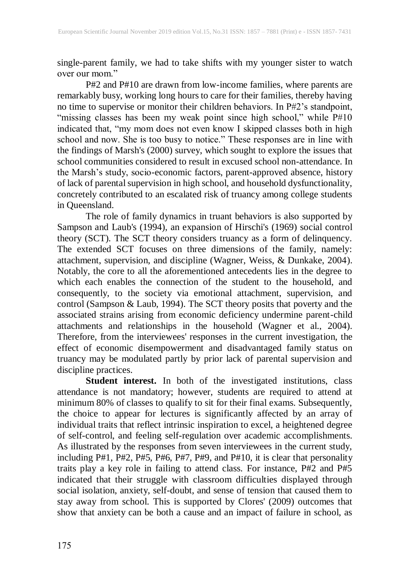single-parent family, we had to take shifts with my younger sister to watch over our mom."

P#2 and P#10 are drawn from low-income families, where parents are remarkably busy, working long hoursto care for their families, thereby having no time to supervise or monitor their children behaviors. In P#2's standpoint, "missing classes has been my weak point since high school," while P#10 indicated that, "my mom does not even know I skipped classes both in high school and now. She is too busy to notice." These responses are in line with the findings of Marsh's (2000) survey, which sought to explore the issues that school communities considered to result in excused school non-attendance. In the Marsh's study, socio-economic factors, parent-approved absence, history of lack of parental supervision in high school, and household dysfunctionality, concretely contributed to an escalated risk of truancy among college students in Queensland.

The role of family dynamics in truant behaviors is also supported by Sampson and Laub's (1994), an expansion of Hirschi's (1969) social control theory (SCT). The SCT theory considers truancy as a form of delinquency. The extended SCT focuses on three dimensions of the family, namely: attachment, supervision, and discipline (Wagner, Weiss, & Dunkake, 2004). Notably, the core to all the aforementioned antecedents lies in the degree to which each enables the connection of the student to the household, and consequently, to the society via emotional attachment, supervision, and control (Sampson & Laub, 1994). The SCT theory posits that poverty and the associated strains arising from economic deficiency undermine parent-child attachments and relationships in the household (Wagner et al., 2004). Therefore, from the interviewees' responses in the current investigation, the effect of economic disempowerment and disadvantaged family status on truancy may be modulated partly by prior lack of parental supervision and discipline practices.

**Student interest.** In both of the investigated institutions, class attendance is not mandatory; however, students are required to attend at minimum 80% of classes to qualify to sit for their final exams. Subsequently, the choice to appear for lectures is significantly affected by an array of individual traits that reflect intrinsic inspiration to excel, a heightened degree of self-control, and feeling self-regulation over academic accomplishments. As illustrated by the responses from seven interviewees in the current study, including P#1, P#2, P#5, P#6, P#7, P#9, and P#10, it is clear that personality traits play a key role in failing to attend class. For instance, P#2 and P#5 indicated that their struggle with classroom difficulties displayed through social isolation, anxiety, self-doubt, and sense of tension that caused them to stay away from school. This is supported by Clores' (2009) outcomes that show that anxiety can be both a cause and an impact of failure in school, as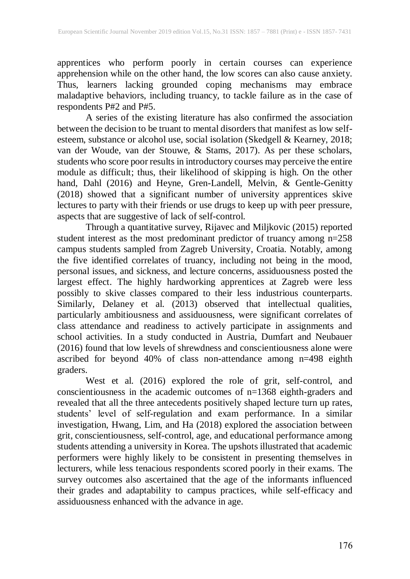apprentices who perform poorly in certain courses can experience apprehension while on the other hand, the low scores can also cause anxiety. Thus, learners lacking grounded coping mechanisms may embrace maladaptive behaviors, including truancy, to tackle failure as in the case of respondents P#2 and P#5.

A series of the existing literature has also confirmed the association between the decision to be truant to mental disorders that manifest as low selfesteem, substance or alcohol use, social isolation (Skedgell & Kearney, 2018; van der Woude, van der Stouwe, & Stams, 2017). As per these scholars, students who score poor results in introductory courses may perceive the entire module as difficult; thus, their likelihood of skipping is high. On the other hand, Dahl (2016) and Heyne, Gren-Landell, Melvin, & Gentle-Genitty (2018) showed that a significant number of university apprentices skive lectures to party with their friends or use drugs to keep up with peer pressure, aspects that are suggestive of lack of self-control.

Through a quantitative survey, Rijavec and Miljkovic (2015) reported student interest as the most predominant predictor of truancy among n=258 campus students sampled from Zagreb University, Croatia. Notably, among the five identified correlates of truancy, including not being in the mood, personal issues, and sickness, and lecture concerns, assiduousness posted the largest effect. The highly hardworking apprentices at Zagreb were less possibly to skive classes compared to their less industrious counterparts. Similarly, Delaney et al. (2013) observed that intellectual qualities, particularly ambitiousness and assiduousness, were significant correlates of class attendance and readiness to actively participate in assignments and school activities. In a study conducted in Austria, Dumfart and Neubauer (2016) found that low levels of shrewdness and conscientiousness alone were ascribed for beyond 40% of class non-attendance among n=498 eighth graders.

West et al. (2016) explored the role of grit, self-control, and conscientiousness in the academic outcomes of n=1368 eighth-graders and revealed that all the three antecedents positively shaped lecture turn up rates, students' level of self-regulation and exam performance. In a similar investigation, Hwang, Lim, and Ha (2018) explored the association between grit, conscientiousness, self-control, age, and educational performance among students attending a university in Korea. The upshots illustrated that academic performers were highly likely to be consistent in presenting themselves in lecturers, while less tenacious respondents scored poorly in their exams. The survey outcomes also ascertained that the age of the informants influenced their grades and adaptability to campus practices, while self-efficacy and assiduousness enhanced with the advance in age.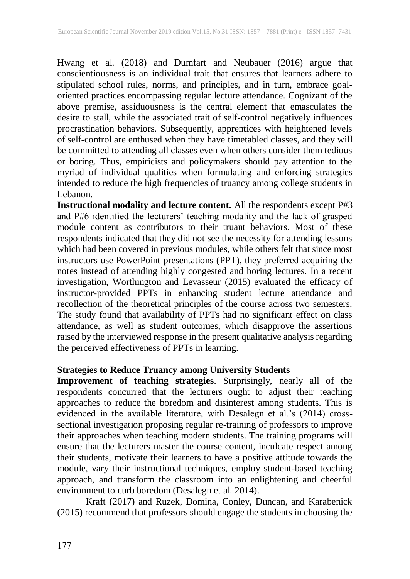Hwang et al. (2018) and Dumfart and Neubauer (2016) argue that conscientiousness is an individual trait that ensures that learners adhere to stipulated school rules, norms, and principles, and in turn, embrace goaloriented practices encompassing regular lecture attendance. Cognizant of the above premise, assiduousness is the central element that emasculates the desire to stall, while the associated trait of self-control negatively influences procrastination behaviors. Subsequently, apprentices with heightened levels of self-control are enthused when they have timetabled classes, and they will be committed to attending all classes even when others consider them tedious or boring. Thus, empiricists and policymakers should pay attention to the myriad of individual qualities when formulating and enforcing strategies intended to reduce the high frequencies of truancy among college students in Lebanon.

**Instructional modality and lecture content.** All the respondents except P#3 and P#6 identified the lecturers' teaching modality and the lack of grasped module content as contributors to their truant behaviors. Most of these respondents indicated that they did not see the necessity for attending lessons which had been covered in previous modules, while others felt that since most instructors use PowerPoint presentations (PPT), they preferred acquiring the notes instead of attending highly congested and boring lectures. In a recent investigation, Worthington and Levasseur (2015) evaluated the efficacy of instructor-provided PPTs in enhancing student lecture attendance and recollection of the theoretical principles of the course across two semesters. The study found that availability of PPTs had no significant effect on class attendance, as well as student outcomes, which disapprove the assertions raised by the interviewed response in the present qualitative analysis regarding the perceived effectiveness of PPTs in learning.

#### **Strategies to Reduce Truancy among University Students**

**Improvement of teaching strategies**. Surprisingly, nearly all of the respondents concurred that the lecturers ought to adjust their teaching approaches to reduce the boredom and disinterest among students. This is evidenced in the available literature, with Desalegn et al.'s (2014) crosssectional investigation proposing regular re-training of professors to improve their approaches when teaching modern students. The training programs will ensure that the lecturers master the course content, inculcate respect among their students, motivate their learners to have a positive attitude towards the module, vary their instructional techniques, employ student-based teaching approach, and transform the classroom into an enlightening and cheerful environment to curb boredom (Desalegn et al. 2014).

Kraft (2017) and Ruzek, Domina, Conley, Duncan, and Karabenick (2015) recommend that professors should engage the students in choosing the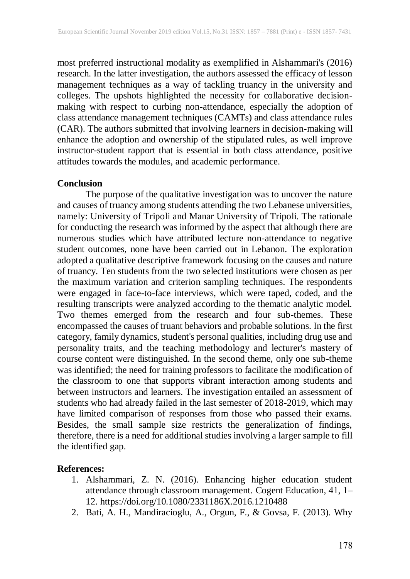most preferred instructional modality as exemplified in Alshammari's (2016) research. In the latter investigation, the authors assessed the efficacy of lesson management techniques as a way of tackling truancy in the university and colleges. The upshots highlighted the necessity for collaborative decisionmaking with respect to curbing non-attendance, especially the adoption of class attendance management techniques (CAMTs) and class attendance rules (CAR). The authors submitted that involving learners in decision-making will enhance the adoption and ownership of the stipulated rules, as well improve instructor-student rapport that is essential in both class attendance, positive attitudes towards the modules, and academic performance.

#### **Conclusion**

The purpose of the qualitative investigation was to uncover the nature and causes of truancy among students attending the two Lebanese universities, namely: University of Tripoli and Manar University of Tripoli. The rationale for conducting the research was informed by the aspect that although there are numerous studies which have attributed lecture non-attendance to negative student outcomes, none have been carried out in Lebanon. The exploration adopted a qualitative descriptive framework focusing on the causes and nature of truancy. Ten students from the two selected institutions were chosen as per the maximum variation and criterion sampling techniques. The respondents were engaged in face-to-face interviews, which were taped, coded, and the resulting transcripts were analyzed according to the thematic analytic model. Two themes emerged from the research and four sub-themes. These encompassed the causes of truant behaviors and probable solutions. In the first category, family dynamics, student's personal qualities, including drug use and personality traits, and the teaching methodology and lecturer's mastery of course content were distinguished. In the second theme, only one sub-theme was identified; the need for training professors to facilitate the modification of the classroom to one that supports vibrant interaction among students and between instructors and learners. The investigation entailed an assessment of students who had already failed in the last semester of 2018-2019, which may have limited comparison of responses from those who passed their exams. Besides, the small sample size restricts the generalization of findings, therefore, there is a need for additional studies involving a larger sample to fill the identified gap.

#### **References:**

- 1. Alshammari, Z. N. (2016). Enhancing higher education student attendance through classroom management. Cogent Education, 41, 1– 12. https://doi.org/10.1080/2331186X.2016.1210488
- 2. Bati, A. H., Mandiracioglu, A., Orgun, F., & Govsa, F. (2013). Why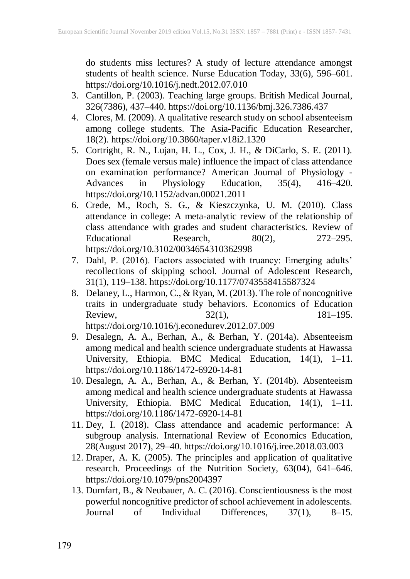do students miss lectures? A study of lecture attendance amongst students of health science. Nurse Education Today, 33(6), 596–601. https://doi.org/10.1016/j.nedt.2012.07.010

- 3. Cantillon, P. (2003). Teaching large groups. British Medical Journal, 326(7386), 437–440. https://doi.org/10.1136/bmj.326.7386.437
- 4. Clores, M. (2009). A qualitative research study on school absenteeism among college students. The Asia-Pacific Education Researcher, 18(2). https://doi.org/10.3860/taper.v18i2.1320
- 5. Cortright, R. N., Lujan, H. L., Cox, J. H., & DiCarlo, S. E. (2011). Does sex (female versus male) influence the impact of class attendance on examination performance? American Journal of Physiology - Advances in Physiology Education, 35(4), 416–420. https://doi.org/10.1152/advan.00021.2011
- 6. Crede, M., Roch, S. G., & Kieszczynka, U. M. (2010). Class attendance in college: A meta-analytic review of the relationship of class attendance with grades and student characteristics. Review of Educational Research,  $80(2)$ ,  $272-295$ . https://doi.org/10.3102/0034654310362998
- 7. Dahl, P. (2016). Factors associated with truancy: Emerging adults' recollections of skipping school. Journal of Adolescent Research, 31(1), 119–138. https://doi.org/10.1177/0743558415587324
- 8. Delaney, L., Harmon, C., & Ryan, M. (2013). The role of noncognitive traits in undergraduate study behaviors. Economics of Education Review,  $32(1)$ ,  $181-195$ . https://doi.org/10.1016/j.econedurev.2012.07.009
- 9. Desalegn, A. A., Berhan, A., & Berhan, Y. (2014a). Absenteeism among medical and health science undergraduate students at Hawassa University, Ethiopia. BMC Medical Education, 14(1), 1–11. https://doi.org/10.1186/1472-6920-14-81
- 10. Desalegn, A. A., Berhan, A., & Berhan, Y. (2014b). Absenteeism among medical and health science undergraduate students at Hawassa University, Ethiopia. BMC Medical Education, 14(1), 1–11. https://doi.org/10.1186/1472-6920-14-81
- 11. Dey, I. (2018). Class attendance and academic performance: A subgroup analysis. International Review of Economics Education, 28(August 2017), 29–40. https://doi.org/10.1016/j.iree.2018.03.003
- 12. Draper, A. K. (2005). The principles and application of qualitative research. Proceedings of the Nutrition Society, 63(04), 641–646. https://doi.org/10.1079/pns2004397
- 13. Dumfart, B., & Neubauer, A. C. (2016). Conscientiousness is the most powerful noncognitive predictor of school achievement in adolescents. Journal of Individual Differences, 37(1), 8–15.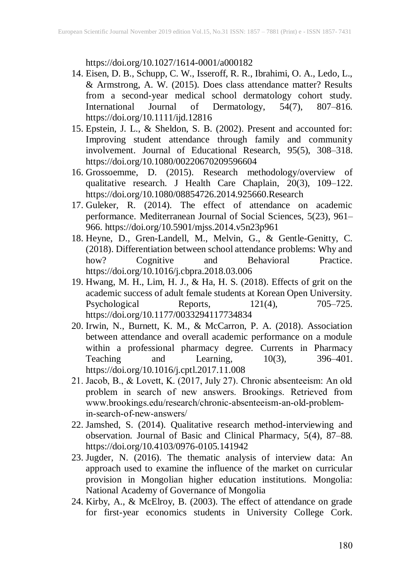https://doi.org/10.1027/1614-0001/a000182

- 14. Eisen, D. B., Schupp, C. W., Isseroff, R. R., Ibrahimi, O. A., Ledo, L., & Armstrong, A. W. (2015). Does class attendance matter? Results from a second-year medical school dermatology cohort study. International Journal of Dermatology, 54(7), 807–816. https://doi.org/10.1111/ijd.12816
- 15. Epstein, J. L., & Sheldon, S. B. (2002). Present and accounted for: Improving student attendance through family and community involvement. Journal of Educational Research, 95(5), 308–318. https://doi.org/10.1080/00220670209596604
- 16. Grossoemme, D. (2015). Research methodology/overview of qualitative research. J Health Care Chaplain, 20(3), 109–122. https://doi.org/10.1080/08854726.2014.925660.Research
- 17. Guleker, R. (2014). The effect of attendance on academic performance. Mediterranean Journal of Social Sciences, 5(23), 961– 966. https://doi.org/10.5901/mjss.2014.v5n23p961
- 18. Heyne, D., Gren-Landell, M., Melvin, G., & Gentle-Genitty, C. (2018). Differentiation between school attendance problems: Why and how? Cognitive and Behavioral Practice. https://doi.org/10.1016/j.cbpra.2018.03.006
- 19. Hwang, M. H., Lim, H. J., & Ha, H. S. (2018). Effects of grit on the academic success of adult female students at Korean Open University. Psychological Reports, 121(4), 705–725. https://doi.org/10.1177/0033294117734834
- 20. Irwin, N., Burnett, K. M., & McCarron, P. A. (2018). Association between attendance and overall academic performance on a module within a professional pharmacy degree. Currents in Pharmacy Teaching and Learning,  $10(3)$ ,  $396-401$ . https://doi.org/10.1016/j.cptl.2017.11.008
- 21. Jacob, B., & Lovett, K. (2017, July 27). Chronic absenteeism: An old problem in search of new answers. Brookings. Retrieved from www.brookings.edu/research/chronic-absenteeism-an-old-problemin-search-of-new-answers/
- 22. Jamshed, S. (2014). Qualitative research method-interviewing and observation. Journal of Basic and Clinical Pharmacy, 5(4), 87–88. https://doi.org/10.4103/0976-0105.141942
- 23. Jugder, N. (2016). The thematic analysis of interview data: An approach used to examine the influence of the market on curricular provision in Mongolian higher education institutions. Mongolia: National Academy of Governance of Mongolia
- 24. Kirby, A., & McElroy, B. (2003). The effect of attendance on grade for first-year economics students in University College Cork.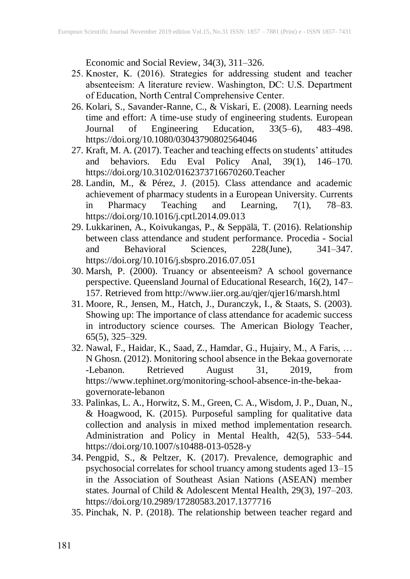Economic and Social Review, 34(3), 311–326.

- 25. Knoster, K. (2016). Strategies for addressing student and teacher absenteeism: A literature review. Washington, DC: U.S. Department of Education, North Central Comprehensive Center.
- 26. Kolari, S., Savander-Ranne, C., & Viskari, E. (2008). Learning needs time and effort: A time-use study of engineering students. European Journal of Engineering Education, 33(5–6), 483–498. https://doi.org/10.1080/03043790802564046
- 27. Kraft, M. A. (2017). Teacher and teaching effects on students' attitudes and behaviors. Edu Eval Policy Anal, 39(1), 146–170. https://doi.org/10.3102/0162373716670260.Teacher
- 28. Landin, M., & Pérez, J. (2015). Class attendance and academic achievement of pharmacy students in a European University. Currents in Pharmacy Teaching and Learning, 7(1), 78–83. https://doi.org/10.1016/j.cptl.2014.09.013
- 29. Lukkarinen, A., Koivukangas, P., & Seppälä, T. (2016). Relationship between class attendance and student performance. Procedia - Social and Behavioral Sciences, 228(June), 341–347. https://doi.org/10.1016/j.sbspro.2016.07.051
- 30. Marsh, P. (2000). Truancy or absenteeism? A school governance perspective. Queensland Journal of Educational Research, 16(2), 147– 157. Retrieved from http://www.iier.org.au/qjer/qjer16/marsh.html
- 31. Moore, R., Jensen, M., Hatch, J., Duranczyk, I., & Staats, S. (2003). Showing up: The importance of class attendance for academic success in introductory science courses. The American Biology Teacher, 65(5), 325–329.
- 32. Nawal, F., Haidar, K., Saad, Z., Hamdar, G., Hujairy, M., A Faris, … N Ghosn. (2012). Monitoring school absence in the Bekaa governorate -Lebanon. Retrieved August 31, 2019, from https://www.tephinet.org/monitoring-school-absence-in-the-bekaagovernorate-lebanon
- 33. Palinkas, L. A., Horwitz, S. M., Green, C. A., Wisdom, J. P., Duan, N., & Hoagwood, K. (2015). Purposeful sampling for qualitative data collection and analysis in mixed method implementation research. Administration and Policy in Mental Health, 42(5), 533–544. https://doi.org/10.1007/s10488-013-0528-y
- 34. Pengpid, S., & Peltzer, K. (2017). Prevalence, demographic and psychosocial correlates for school truancy among students aged 13–15 in the Association of Southeast Asian Nations (ASEAN) member states. Journal of Child & Adolescent Mental Health, 29(3), 197–203. https://doi.org/10.2989/17280583.2017.1377716
- 35. Pinchak, N. P. (2018). The relationship between teacher regard and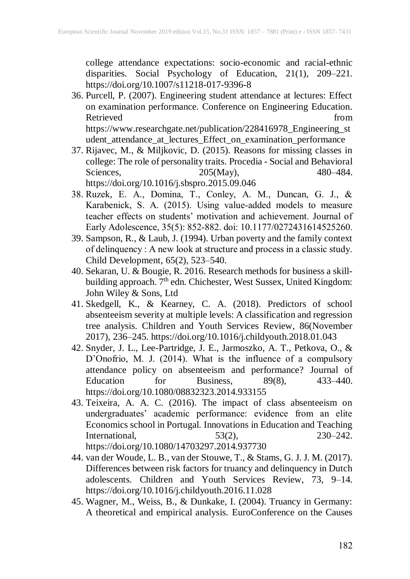college attendance expectations: socio-economic and racial-ethnic disparities. Social Psychology of Education, 21(1), 209–221. https://doi.org/10.1007/s11218-017-9396-8

- 36. Purcell, P. (2007). Engineering student attendance at lectures: Effect on examination performance. Conference on Engineering Education. Retrieved from the set of the set of the set of the set of the set of the set of the set of the set of the set of the set of the set of the set of the set of the set of the set of the set of the set of the set of the set o https://www.researchgate.net/publication/228416978\_Engineering\_st
- udent\_attendance\_at\_lectures\_Effect\_on\_examination\_performance 37. Rijavec, M., & Miljkovic, D. (2015). Reasons for missing classes in college: The role of personality traits. Procedia - Social and Behavioral Sciences, 205(May), 480–484. https://doi.org/10.1016/j.sbspro.2015.09.046
- 38. Ruzek, E. A., Domina, T., Conley, A. M., Duncan, G. J., & Karabenick, S. A. (2015). Using value-added models to measure teacher effects on students' motivation and achievement. Journal of Early Adolescence, 35(5): 852-882. doi: 10.1177/0272431614525260.
- 39. Sampson, R., & Laub, J. (1994). Urban poverty and the family context of delinquency : A new look at structure and process in a classic study. Child Development, 65(2), 523–540.
- 40. Sekaran, U. & Bougie, R. 2016. Research methods for business a skillbuilding approach. 7<sup>th</sup> edn. Chichester, West Sussex, United Kingdom: John Wiley & Sons, Ltd
- 41. Skedgell, K., & Kearney, C. A. (2018). Predictors of school absenteeism severity at multiple levels: A classification and regression tree analysis. Children and Youth Services Review, 86(November 2017), 236–245. https://doi.org/10.1016/j.childyouth.2018.01.043
- 42. Snyder, J. L., Lee-Partridge, J. E., Jarmoszko, A. T., Petkova, O., & D'Onofrio, M. J. (2014). What is the influence of a compulsory attendance policy on absenteeism and performance? Journal of Education for Business,  $89(8)$ ,  $433-440$ . https://doi.org/10.1080/08832323.2014.933155
- 43. Teixeira, A. A. C. (2016). The impact of class absenteeism on undergraduates' academic performance: evidence from an elite Economics school in Portugal. Innovations in Education and Teaching International, 53(2), 230–242. https://doi.org/10.1080/14703297.2014.937730
- 44. van der Woude, L. B., van der Stouwe, T., & Stams, G. J. J. M. (2017). Differences between risk factors for truancy and delinquency in Dutch adolescents. Children and Youth Services Review, 73, 9–14. https://doi.org/10.1016/j.childyouth.2016.11.028
- 45. Wagner, M., Weiss, B., & Dunkake, I. (2004). Truancy in Germany: A theoretical and empirical analysis. EuroConference on the Causes